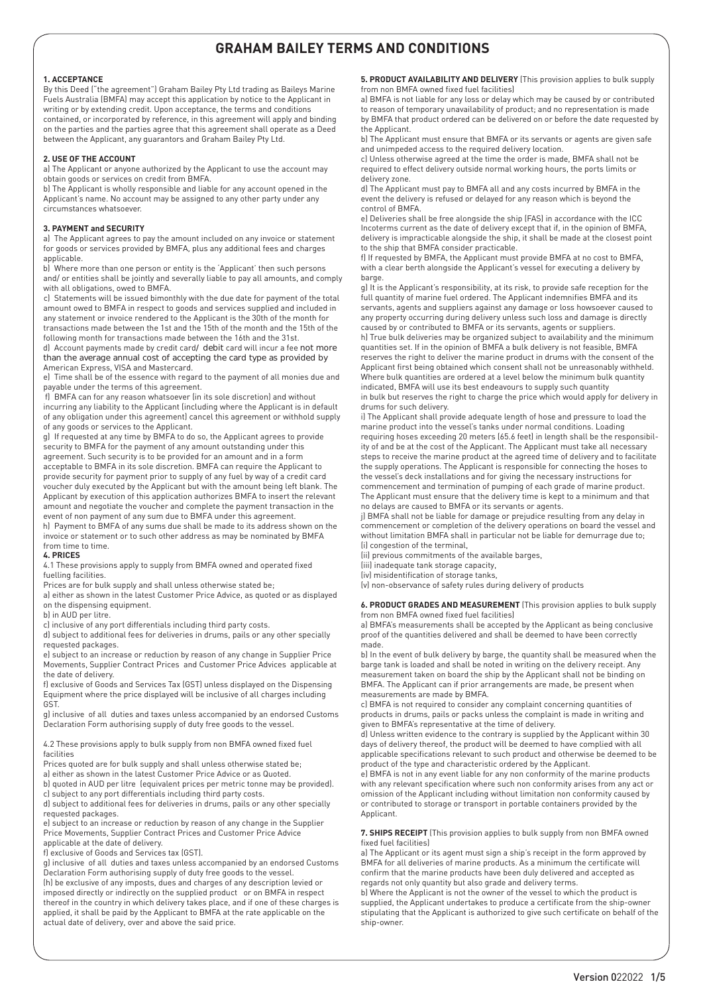## **1. ACCEPTANCE**

By this Deed ("the agreement") Graham Bailey Pty Ltd trading as Baileys Marine Fuels Australia (BMFA) may accept this application by notice to the Applicant in writing or by extending credit. Upon acceptance, the terms and conditions contained, or incorporated by reference, in this agreement will apply and binding on the parties and the parties agree that this agreement shall operate as a Deed between the Applicant, any guarantors and Graham Bailey Pty Ltd.

### **2. USE OF THE ACCOUNT**

a) The Applicant or anyone authorized by the Applicant to use the account may obtain goods or services on credit from BMFA.

b) The Applicant is wholly responsible and liable for any account opened in the Applicant's name. No account may be assigned to any other party under any circumstances whatsoever.

## **3. PAYMENT and SECURITY**

a) The Applicant agrees to pay the amount included on any invoice or statement for goods or services provided by BMFA, plus any additional fees and charges applicable.

b) Where more than one person or entity is the 'Applicant' then such persons and/ or entities shall be jointly and severally liable to pay all amounts, and comply with all obligations, owed to BMFA.

c) Statements will be issued bimonthly with the due date for payment of the total amount owed to BMFA in respect to goods and services supplied and included in any statement or invoice rendered to the Applicant is the 30th of the month for transactions made between the 1st and the 15th of the month and the 15th of the

following month for transactions made between the 16th and the 31st. d) Account payments made by credit card/ debit card will incur a fee not more than the average annual cost of accepting the card type as provided by American Express, VISA and Mastercard.

e) Time shall be of the essence with regard to the payment of all monies due and payable under the terms of this agreement.

f) BMFA can for any reason whatsoever (in its sole discretion) and without incurring any liability to the Applicant (including where the Applicant is in default of any obligation under this agreement) cancel this agreement or withhold supply of any goods or services to the Applicant.

g) If requested at any time by BMFA to do so, the Applicant agrees to provide security to BMFA for the payment of any amount outstanding under this agreement. Such security is to be provided for an amount and in a form acceptable to BMFA in its sole discretion. BMFA can require the Applicant to provide security for payment prior to supply of any fuel by way of a credit card voucher duly executed by the Applicant but with the amount being left blank. The Applicant by execution of this application authorizes BMFA to insert the relevant amount and negotiate the voucher and complete the payment transaction in the event of non payment of any sum due to BMFA under this agreement.

h) Payment to BMFA of any sums due shall be made to its address shown on the invoice or statement or to such other address as may be nominated by BMFA from time to time.

# **4. PRICES**

4.1 These provisions apply to supply from BMFA owned and operated fixed fuelling facilities.

Prices are for bulk supply and shall unless otherwise stated be;

a) either as shown in the latest Customer Price Advice, as quoted or as displayed on the dispensing equipment.

b) in AUD per litre.

c) inclusive of any port differentials including third party costs.

d) subject to additional fees for deliveries in drums, pails or any other specially requested packages.

e) subject to an increase or reduction by reason of any change in Supplier Price Movements, Supplier Contract Prices and Customer Price Advices applicable at the date of delivery.

f) exclusive of Goods and Services Tax (GST) unless displayed on the Dispensing Equipment where the price displayed will be inclusive of all charges including GST.

g) inclusive of all duties and taxes unless accompanied by an endorsed Customs Declaration Form authorising supply of duty free goods to the vessel.

4.2 These provisions apply to bulk supply from non BMFA owned fixed fuel

facilities Prices quoted are for bulk supply and shall unless otherwise stated be;

a) either as shown in the latest Customer Price Advice or as Quoted.

b) quoted in AUD per litre (equivalent prices per metric tonne may be provided). c) subject to any port differentials including third party costs.

d) subject to additional fees for deliveries in drums, pails or any other specially requested packages.

e) subject to an increase or reduction by reason of any change in the Supplier Price Movements, Supplier Contract Prices and Customer Price Advice applicable at the date of delivery.

f) exclusive of Goods and Services tax (GST).

g) inclusive of all duties and taxes unless accompanied by an endorsed Customs Declaration Form authorising supply of duty free goods to the vessel. (h) be exclusive of any imposts, dues and charges of any description levied or imposed directly or indirectly on the supplied product or on BMFA in respect thereof in the country in which delivery takes place, and if one of these charges is applied, it shall be paid by the Applicant to BMFA at the rate applicable on the actual date of delivery, over and above the said price.

**5. PRODUCT AVAILABILITY AND DELIVERY** (This provision applies to bulk supply from non BMFA owned fixed fuel facilities)

a) BMFA is not liable for any loss or delay which may be caused by or contributed to reason of temporary unavailability of product; and no representation is made by BMFA that product ordered can be delivered on or before the date requested by the Applicant.

b) The Applicant must ensure that BMFA or its servants or agents are given safe and unimpeded access to the required delivery location.

c) Unless otherwise agreed at the time the order is made, BMFA shall not be required to effect delivery outside normal working hours, the ports limits or delivery zone.

d) The Applicant must pay to BMFA all and any costs incurred by BMFA in the event the delivery is refused or delayed for any reason which is beyond the control of BMFA.

e) Deliveries shall be free alongside the ship (FAS) in accordance with the ICC Incoterms current as the date of delivery except that if, in the opinion of BMFA, delivery is impracticable alongside the ship, it shall be made at the closest point to the ship that BMFA consider practicable.

f) If requested by BMFA, the Applicant must provide BMFA at no cost to BMFA, with a clear berth alongside the Applicant's vessel for executing a delivery by barge.

g) It is the Applicant's responsibility, at its risk, to provide safe reception for the full quantity of marine fuel ordered. The Applicant indemnifies BMFA and its servants, agents and suppliers against any damage or loss howsoever caused to any property occurring during delivery unless such loss and damage is directly caused by or contributed to BMFA or its servants, agents or suppliers.

h) True bulk deliveries may be organized subject to availability and the minimum quantities set. If in the opinion of BMFA a bulk delivery is not feasible, BMFA reserves the right to deliver the marine product in drums with the consent of the Applicant first being obtained which consent shall not be unreasonably withheld. Where bulk quantities are ordered at a level below the minimum bulk quantity indicated, BMFA will use its best endeavours to supply such quantity

in bulk but reserves the right to charge the price which would apply for delivery in drums for such delivery.

i) The Applicant shall provide adequate length of hose and pressure to load the marine product into the vessel's tanks under normal conditions. Loading requiring hoses exceeding 20 meters (65.6 feet) in length shall be the responsibility of and be at the cost of the Applicant. The Applicant must take all necessary steps to receive the marine product at the agreed time of delivery and to facilitate the supply operations. The Applicant is responsible for connecting the hoses to the vessel's deck installations and for giving the necessary instructions for commencement and termination of pumping of each grade of marine product. The Applicant must ensure that the delivery time is kept to a minimum and that

no delays are caused to BMFA or its servants or agents. j) BMFA shall not be liable for damage or prejudice resulting from any delay in commencement or completion of the delivery operations on board the vessel and without limitation BMFA shall in particular not be liable for demurrage due to; (i) congestion of the terminal,

(ii) previous commitments of the available barges,

(iii) inadequate tank storage capacity,

(iv) misidentification of storage tanks,

(v) non-observance of safety rules during delivery of products

**6. PRODUCT GRADES AND MEASUREMENT** (This provision applies to bulk supply from non BMFA owned fixed fuel facilities)

a) BMFA's measurements shall be accepted by the Applicant as being conclusive proof of the quantities delivered and shall be deemed to have been correctly made.

b) In the event of bulk delivery by barge, the quantity shall be measured when the barge tank is loaded and shall be noted in writing on the delivery receipt. Any measurement taken on board the ship by the Applicant shall not be binding on BMFA. The Applicant can if prior arrangements are made, be present when measurements are made by BMFA.

c) BMFA is not required to consider any complaint concerning quantities of products in drums, pails or packs unless the complaint is made in writing and given to BMFA's representative at the time of delivery.

d) Unless written evidence to the contrary is supplied by the Applicant within 30 days of delivery thereof, the product will be deemed to have complied with all applicable specifications relevant to such product and otherwise be deemed to be product of the type and characteristic ordered by the Applicant.

e) BMFA is not in any event liable for any non conformity of the marine products with any relevant specification where such non conformity arises from any act or omission of the Applicant including without limitation non conformity caused by or contributed to storage or transport in portable containers provided by the Applicant.

**7. SHIPS RECEIPT** (This provision applies to bulk supply from non BMFA owned fixed fuel facilities)

a) The Applicant or its agent must sign a ship's receipt in the form approved by BMFA for all deliveries of marine products. As a minimum the certificate will confirm that the marine products have been duly delivered and accepted as regards not only quantity but also grade and delivery terms.

b) Where the Applicant is not the owner of the vessel to which the product is supplied, the Applicant undertakes to produce a certificate from the ship-owner stipulating that the Applicant is authorized to give such certificate on behalf of the ship-owner.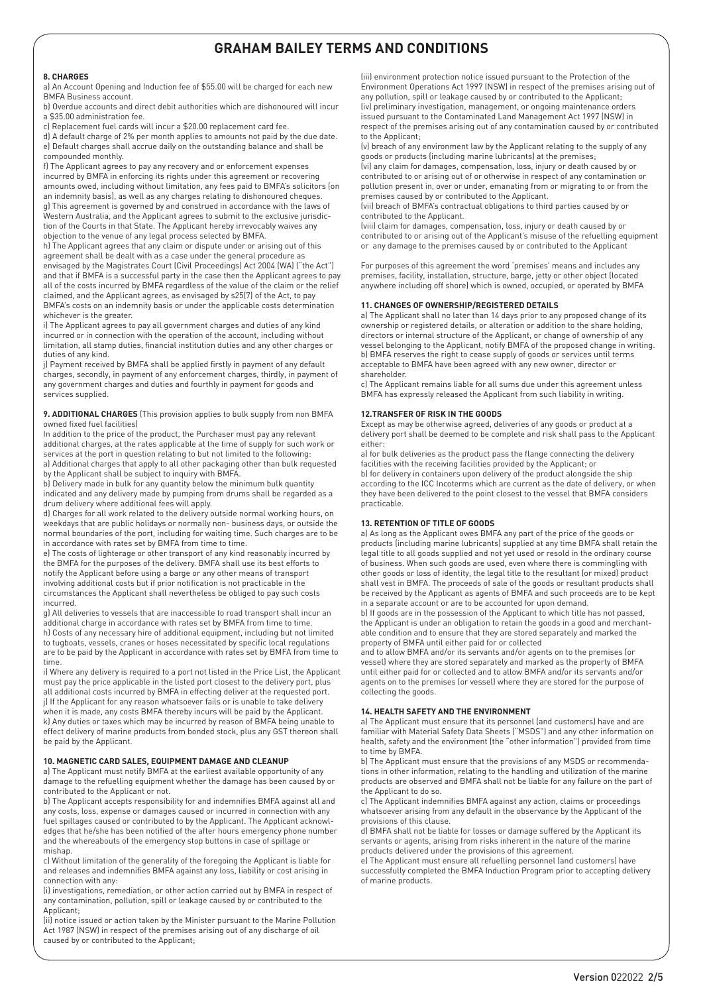# **8. CHARGES**

a) An Account Opening and Induction fee of \$55.00 will be charged for each new BMFA Business account.

b) Overdue accounts and direct debit authorities which are dishonoured will incur a \$35.00 administration fee.

c) Replacement fuel cards will incur a \$20.00 replacement card fee.

d) A default charge of 2% per month applies to amounts not paid by the due date. e) Default charges shall accrue daily on the outstanding balance and shall be compounded monthly.

f) The Applicant agrees to pay any recovery and or enforcement expenses incurred by BMFA in enforcing its rights under this agreement or recovering amounts owed, including without limitation, any fees paid to BMFA's solicitors (on an indemnity basis), as well as any charges relating to dishonoured cheques. g) This agreement is governed by and construed in accordance with the laws of Western Australia, and the Applicant agrees to submit to the exclusive jurisdiction of the Courts in that State. The Applicant hereby irrevocably waives any objection to the venue of any legal process selected by BMFA.

h) The Applicant agrees that any claim or dispute under or arising out of this agreement shall be dealt with as a case under the general procedure as envisaged by the Magistrates Court (Civil Proceedings) Act 2004 (WA) ("the Act") and that if BMFA is a successful party in the case then the Applicant agrees to pay all of the costs incurred by BMFA regardless of the value of the claim or the relief claimed, and the Applicant agrees, as envisaged by s25(7) of the Act, to pay BMFA's costs on an indemnity basis or under the applicable costs determination whichever is the greater.

i) The Applicant agrees to pay all government charges and duties of any kind incurred or in connection with the operation of the account, including without limitation, all stamp duties, financial institution duties and any other charges or duties of any kind.

j) Payment received by BMFA shall be applied firstly in payment of any default charges, secondly, in payment of any enforcement charges, thirdly, in payment of any government charges and duties and fourthly in payment for goods and services supplied.

#### **9. ADDITIONAL CHARGES** (This provision applies to bulk supply from non BMFA owned fixed fuel facilities)

In addition to the price of the product, the Purchaser must pay any relevant additional charges, at the rates applicable at the time of supply for such work or services at the port in question relating to but not limited to the following: a) Additional charges that apply to all other packaging other than bulk requested by the Applicant shall be subject to inquiry with BMFA.

b) Delivery made in bulk for any quantity below the minimum bulk quantity indicated and any delivery made by pumping from drums shall be regarded as a drum delivery where additional fees will apply.

d) Charges for all work related to the delivery outside normal working hours, on weekdays that are public holidays or normally non- business days, or outside the normal boundaries of the port, including for waiting time. Such charges are to be in accordance with rates set by BMFA from time to time.

e) The costs of lighterage or other transport of any kind reasonably incurred by the BMFA for the purposes of the delivery. BMFA shall use its best efforts to notify the Applicant before using a barge or any other means of transport involving additional costs but if prior notification is not practicable in the circumstances the Applicant shall nevertheless be obliged to pay such costs incurred.

g) All deliveries to vessels that are inaccessible to road transport shall incur an additional charge in accordance with rates set by BMFA from time to time. h) Costs of any necessary hire of additional equipment, including but not limited to tugboats, vessels, cranes or hoses necessitated by specific local regulations are to be paid by the Applicant in accordance with rates set by BMFA from time to time.

i) Where any delivery is required to a port not listed in the Price List, the Applicant must pay the price applicable in the listed port closest to the delivery port, plus all additional costs incurred by BMFA in effecting deliver at the requested port. j) If the Applicant for any reason whatsoever fails or is unable to take delivery when it is made, any costs BMFA thereby incurs will be paid by the Applicant. k) Any duties or taxes which may be incurred by reason of BMFA being unable to effect delivery of marine products from bonded stock, plus any GST thereon shall be paid by the Applicant.

# **10. MAGNETIC CARD SALES, EQUIPMENT DAMAGE AND CLEANUP**

a) The Applicant must notify BMFA at the earliest available opportunity of any damage to the refuelling equipment whether the damage has been caused by or contributed to the Applicant or not.

b) The Applicant accepts responsibility for and indemnifies BMFA against all and any costs, loss, expense or damages caused or incurred in connection with any fuel spillages caused or contributed to by the Applicant. The Applicant acknowledges that he/she has been notified of the after hours emergency phone number and the whereabouts of the emergency stop buttons in case of spillage or mishap.

c) Without limitation of the generality of the foregoing the Applicant is liable for and releases and indemnifies BMFA against any loss, liability or cost arising in connection with any:

(i) investigations, remediation, or other action carried out by BMFA in respect of any contamination, pollution, spill or leakage caused by or contributed to the Applicant;

(ii) notice issued or action taken by the Minister pursuant to the Marine Pollution Act 1987 (NSW) in respect of the premises arising out of any discharge of oil caused by or contributed to the Applicant;

(iii) environment protection notice issued pursuant to the Protection of the Environment Operations Act 1997 (NSW) in respect of the premises arising out of any pollution, spill or leakage caused by or contributed to the Applicant; (iv) preliminary investigation, management, or ongoing maintenance orders issued pursuant to the Contaminated Land Management Act 1997 (NSW) in respect of the premises arising out of any contamination caused by or contributed to the Applicant;

(v) breach of any environment law by the Applicant relating to the supply of any goods or products (including marine lubricants) at the premises; (vi) any claim for damages, compensation, loss, injury or death caused by or

contributed to or arising out of or otherwise in respect of any contamination or pollution present in, over or under, emanating from or migrating to or from the premises caused by or contributed to the Applicant.

(vii) breach of BMFA's contractual obligations to third parties caused by or contributed to the Applicant.

(viii) claim for damages, compensation, loss, injury or death caused by or contributed to or arising out of the Applicant's misuse of the refuelling equipment or any damage to the premises caused by or contributed to the Applicant

For purposes of this agreement the word 'premises' means and includes any premises, facility, installation, structure, barge, jetty or other object (located anywhere including off shore) which is owned, occupied, or operated by BMFA

## **11. CHANGES OF OWNERSHIP/REGISTERED DETAILS**

a) The Applicant shall no later than 14 days prior to any proposed change of its ownership or registered details, or alteration or addition to the share holding, directors or internal structure of the Applicant, or change of ownership of any vessel belonging to the Applicant, notify BMFA of the proposed change in writing. b) BMFA reserves the right to cease supply of goods or services until terms acceptable to BMFA have been agreed with any new owner, director or shareholder.

c) The Applicant remains liable for all sums due under this agreement unless BMFA has expressly released the Applicant from such liability in writing.

## **12.TRANSFER OF RISK IN THE GOODS**

Except as may be otherwise agreed, deliveries of any goods or product at a delivery port shall be deemed to be complete and risk shall pass to the Applicant either:

a) for bulk deliveries as the product pass the flange connecting the delivery facilities with the receiving facilities provided by the Applicant; or b) for delivery in containers upon delivery of the product alongside the ship according to the ICC Incoterms which are current as the date of delivery, or when they have been delivered to the point closest to the vessel that BMFA considers practicable.

### **13. RETENTION OF TITLE OF GOODS**

a) As long as the Applicant owes BMFA any part of the price of the goods or products (including marine lubricants) supplied at any time BMFA shall retain the legal title to all goods supplied and not yet used or resold in the ordinary course of business. When such goods are used, even where there is commingling with other goods or loss of identity, the legal title to the resultant (or mixed) product shall vest in BMFA. The proceeds of sale of the goods or resultant products shall be received by the Applicant as agents of BMFA and such proceeds are to be kept in a separate account or are to be accounted for upon demand.

b) If goods are in the possession of the Applicant to which title has not passed, the Applicant is under an obligation to retain the goods in a good and merchantable condition and to ensure that they are stored separately and marked the property of BMFA until either paid for or collected

and to allow BMFA and/or its servants and/or agents on to the premises (or vessel) where they are stored separately and marked as the property of BMFA until either paid for or collected and to allow BMFA and/or its servants and/or agents on to the premises (or vessel) where they are stored for the purpose of collecting the goods.

# **14. HEALTH SAFETY AND THE ENVIRONMENT**

a) The Applicant must ensure that its personnel (and customers) have and are familiar with Material Safety Data Sheets ("MSDS") and any other information on health, safety and the environment (the "other information") provided from time to time by BMFA.

b) The Applicant must ensure that the provisions of any MSDS or recommendations in other information, relating to the handling and utilization of the marine products are observed and BMFA shall not be liable for any failure on the part of the Applicant to do so.

c) The Applicant indemnifies BMFA against any action, claims or proceedings whatsoever arising from any default in the observance by the Applicant of the provisions of this clause.

d) BMFA shall not be liable for losses or damage suffered by the Applicant its servants or agents, arising from risks inherent in the nature of the marine products delivered under the provisions of this agreement.

e) The Applicant must ensure all refuelling personnel (and customers) have successfully completed the BMFA Induction Program prior to accepting delivery of marine products.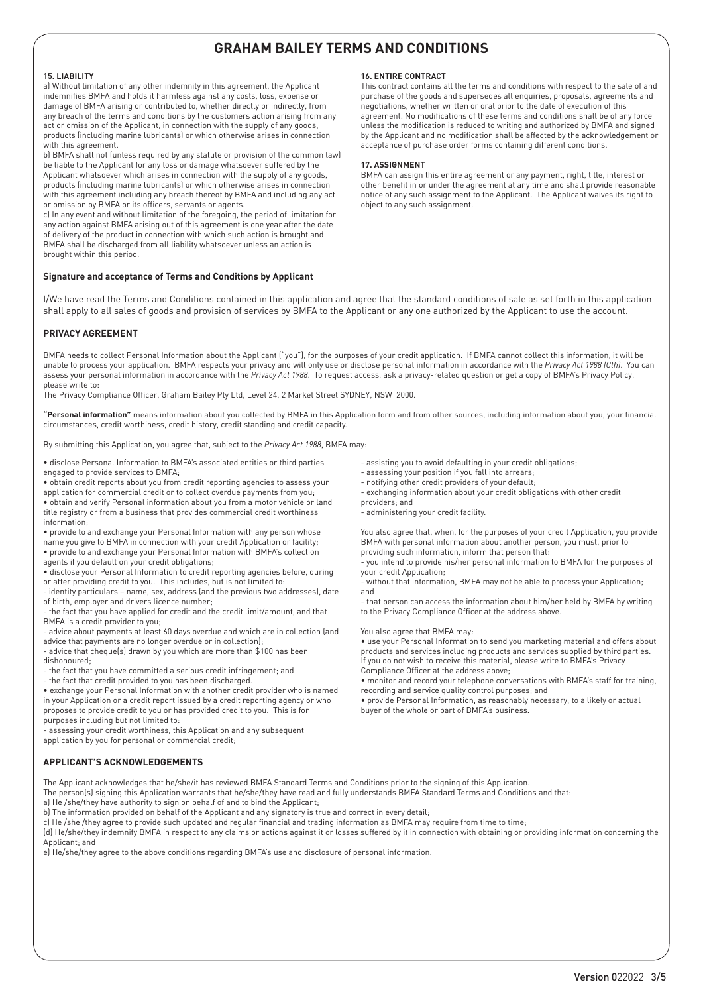# **15. LIABILITY**

a) Without limitation of any other indemnity in this agreement, the Applicant indemnifies BMFA and holds it harmless against any costs, loss, expense or damage of BMFA arising or contributed to, whether directly or indirectly, from any breach of the terms and conditions by the customers action arising from any act or omission of the Applicant, in connection with the supply of any goods, products (including marine lubricants) or which otherwise arises in connection with this agreement.

b) BMFA shall not (unless required by any statute or provision of the common law) be liable to the Applicant for any loss or damage whatsoever suffered by the Applicant whatsoever which arises in connection with the supply of any goods, products (including marine lubricants) or which otherwise arises in connection with this agreement including any breach thereof by BMFA and including any act or omission by BMFA or its officers, servants or agents.

c) In any event and without limitation of the foregoing, the period of limitation for any action against BMFA arising out of this agreement is one year after the date of delivery of the product in connection with which such action is brought and BMFA shall be discharged from all liability whatsoever unless an action is brought within this period.

## **Signature and acceptance of Terms and Conditions by Applicant**

## **16. ENTIRE CONTRACT**

This contract contains all the terms and conditions with respect to the sale of and purchase of the goods and supersedes all enquiries, proposals, agreements and negotiations, whether written or oral prior to the date of execution of this agreement. No modifications of these terms and conditions shall be of any force unless the modification is reduced to writing and authorized by BMFA and signed by the Applicant and no modification shall be affected by the acknowledgement or acceptance of purchase order forms containing different conditions.

# **17. ASSIGNMENT**

BMFA can assign this entire agreement or any payment, right, title, interest or other benefit in or under the agreement at any time and shall provide reasonable notice of any such assignment to the Applicant. The Applicant waives its right to object to any such assignment.

I/We have read the Terms and Conditions contained in this application and agree that the standard conditions of sale as set forth in this application shall apply to all sales of goods and provision of services by BMFA to the Applicant or any one authorized by the Applicant to use the account.

# **PRIVACY AGREEMENT**

BMFA needs to collect Personal Information about the Applicant ("you"), for the purposes of your credit application. If BMFA cannot collect this information, it will be unable to process your application. BMFA respects your privacy and will only use or disclose personal information in accordance with the *Privacy Act 1988 (Cth)*. You can assess your personal information in accordance with the *Privacy Act 1988*. To request access, ask a privacy-related question or get a copy of BMFA's Privacy Policy, please write to:

The Privacy Compliance Officer, Graham Bailey Pty Ltd, Level 24, 2 Market Street SYDNEY, NSW 2000.

**"Personal information"** means information about you collected by BMFA in this Application form and from other sources, including information about you, your financial circumstances, credit worthiness, credit history, credit standing and credit capacity.

By submitting this Application, you agree that, subject to the *Privacy Act 1988*, BMFA may:

- disclose Personal Information to BMFA's associated entities or third parties engaged to provide services to BMFA;
- obtain credit reports about you from credit reporting agencies to assess your
- application for commercial credit or to collect overdue payments from you;
- obtain and verify Personal information about you from a motor vehicle or land title registry or from a business that provides commercial credit worthiness information;
- provide to and exchange your Personal Information with any person whose
- name you give to BMFA in connection with your credit Application or facility; • provide to and exchange your Personal Information with BMFA's collection
- agents if you default on your credit obligations;
- disclose your Personal Information to credit reporting agencies before, during or after providing credit to you. This includes, but is not limited to:
- identity particulars name, sex, address (and the previous two addresses), date of birth, employer and drivers licence number;
- the fact that you have applied for credit and the credit limit/amount, and that BMFA is a credit provider to you;
- advice about payments at least 60 days overdue and which are in collection (and advice that payments are no longer overdue or in collection);
- advice that cheque(s) drawn by you which are more than \$100 has been
- dishonoured;
- the fact that you have committed a serious credit infringement; and
- the fact that credit provided to you has been discharged.

• exchange your Personal Information with another credit provider who is named in your Application or a credit report issued by a credit reporting agency or who proposes to provide credit to you or has provided credit to you. This is for purposes including but not limited to:

- assessing your credit worthiness, this Application and any subsequent
- application by you for personal or commercial credit;

# **APPLICANT'S ACKNOWLEDGEMENTS**

The Applicant acknowledges that he/she/it has reviewed BMFA Standard Terms and Conditions prior to the signing of this Application.

The person(s) signing this Application warrants that he/she/they have read and fully understands BMFA Standard Terms and Conditions and that: a) He /she/they have authority to sign on behalf of and to bind the Applicant;

b) The information provided on behalf of the Applicant and any signatory is true and correct in every detail;

c) He /she /they agree to provide such updated and regular financial and trading information as BMFA may require from time to time;

(d) He/she/they indemnify BMFA in respect to any claims or actions against it or losses suffered by it in connection with obtaining or providing information concerning the Applicant; and

e) He/she/they agree to the above conditions regarding BMFA's use and disclosure of personal information.

- assisting you to avoid defaulting in your credit obligations;
- assessing your position if you fall into arrears;
- notifying other credit providers of your default;
- exchanging information about your credit obligations with other credit
- providers; and - administering your credit facility.

You also agree that, when, for the purposes of your credit Application, you provide BMFA with personal information about another person, you must, prior to providing such information, inform that person that:

- you intend to provide his/her personal information to BMFA for the purposes of your credit Application;

- without that information, BMFA may not be able to process your Application; and

- that person can access the information about him/her held by BMFA by writing to the Privacy Compliance Officer at the address above.

#### You also agree that BMFA may:

• use your Personal Information to send you marketing material and offers about products and services including products and services supplied by third parties. If you do not wish to receive this material, please write to BMFA's Privacy Compliance Officer at the address above;

• monitor and record your telephone conversations with BMFA's staff for training, recording and service quality control purposes; and

• provide Personal Information, as reasonably necessary, to a likely or actual buyer of the whole or part of BMFA's business.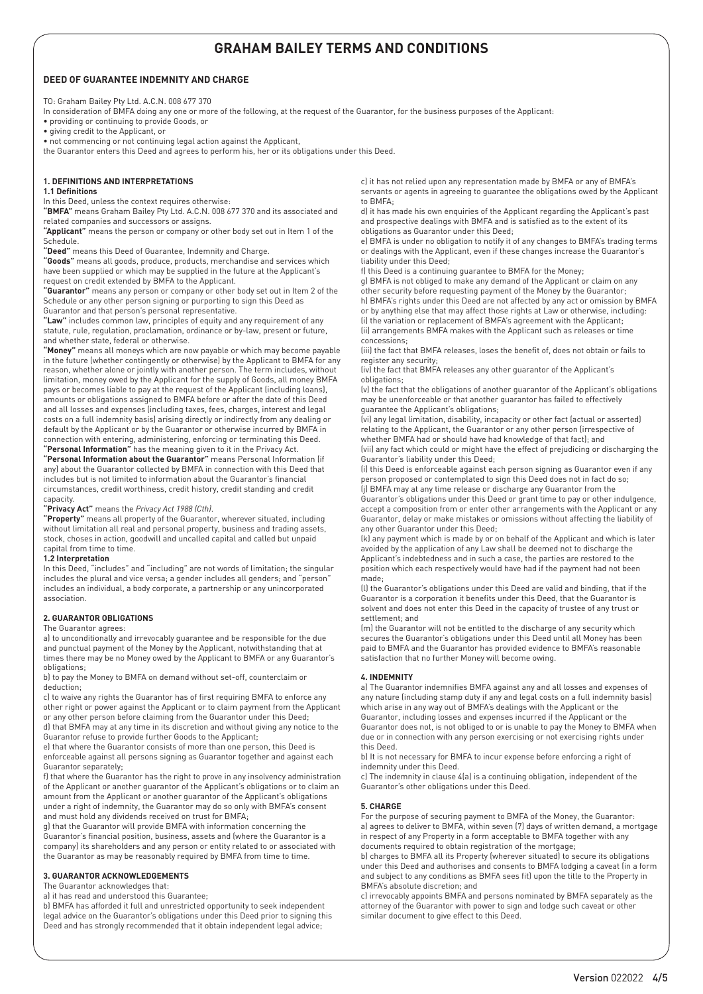# **DEED OF GUARANTEE INDEMNITY AND CHARGE**

TO: Graham Bailey Pty Ltd. A.C.N. 008 677 370

In consideration of BMFA doing any one or more of the following, at the request of the Guarantor, for the business purposes of the Applicant:

• providing or continuing to provide Goods, or

• giving credit to the Applicant, or • not commencing or not continuing legal action against the Applicant,

the Guarantor enters this Deed and agrees to perform his, her or its obligations under this Deed.

## **1. DEFINITIONS AND INTERPRETATIONS**

## **1.1 Definitions**

In this Deed, unless the context requires otherwise:

**"BMFA"** means Graham Bailey Pty Ltd. A.C.N. 008 677 370 and its associated and related companies and successors or assigns.

**"Applicant"** means the person or company or other body set out in Item 1 of the Schedule.

**"Deed"** means this Deed of Guarantee, Indemnity and Charge.

**"Goods"** means all goods, produce, products, merchandise and services which have been supplied or which may be supplied in the future at the Applicant's request on credit extended by BMFA to the Applicant.

**"Guarantor"** means any person or company or other body set out in Item 2 of the Schedule or any other person signing or purporting to sign this Deed as Guarantor and that person's personal representative.

**"Law"** includes common law, principles of equity and any requirement of any statute, rule, regulation, proclamation, ordinance or by-law, present or future, and whether state, federal or otherwise.

**"Money"** means all moneys which are now payable or which may become payable in the future (whether contingently or otherwise) by the Applicant to BMFA for any reason, whether alone or jointly with another person. The term includes, without limitation, money owed by the Applicant for the supply of Goods, all money BMFA pays or becomes liable to pay at the request of the Applicant (including loans), amounts or obligations assigned to BMFA before or after the date of this Deed and all losses and expenses (including taxes, fees, charges, interest and legal costs on a full indemnity basis) arising directly or indirectly from any dealing or default by the Applicant or by the Guarantor or otherwise incurred by BMFA in connection with entering, administering, enforcing or terminating this Deed.

**"Personal Information"** has the meaning given to it in the Privacy Act. **"Personal Information about the Guarantor"** means Personal Information (if

any) about the Guarantor collected by BMFA in connection with this Deed that includes but is not limited to information about the Guarantor's financial circumstances, credit worthiness, credit history, credit standing and credit capacity.

**"Privacy Act"** means the *Privacy Act 1988 (Cth)*.

**"Property"** means all property of the Guarantor, wherever situated, including without limitation all real and personal property, business and trading assets, stock, choses in action, goodwill and uncalled capital and called but unpaid capital from time to time.

#### **1.2 Interpretation**

In this Deed, "includes" and "including" are not words of limitation; the singular includes the plural and vice versa; a gender includes all genders; and "person" includes an individual, a body corporate, a partnership or any unincorporated association.

#### **2. GUARANTOR OBLIGATIONS**

#### The Guarantor agrees:

a) to unconditionally and irrevocably guarantee and be responsible for the due and punctual payment of the Money by the Applicant, notwithstanding that at times there may be no Money owed by the Applicant to BMFA or any Guarantor's obligations;

b) to pay the Money to BMFA on demand without set-off, counterclaim or deduction;

c) to waive any rights the Guarantor has of first requiring BMFA to enforce any other right or power against the Applicant or to claim payment from the Applicant or any other person before claiming from the Guarantor under this Deed;

d) that BMFA may at any time in its discretion and without giving any notice to the Guarantor refuse to provide further Goods to the Applicant;

e) that where the Guarantor consists of more than one person, this Deed is enforceable against all persons signing as Guarantor together and against each Guarantor separately;

f) that where the Guarantor has the right to prove in any insolvency administration of the Applicant or another guarantor of the Applicant's obligations or to claim an amount from the Applicant or another guarantor of the Applicant's obligations under a right of indemnity, the Guarantor may do so only with BMFA's consent and must hold any dividends received on trust for BMFA;

g) that the Guarantor will provide BMFA with information concerning the Guarantor's financial position, business, assets and (where the Guarantor is a company) its shareholders and any person or entity related to or associated with the Guarantor as may be reasonably required by BMFA from time to time.

### **3. GUARANTOR ACKNOWLEDGEMENTS**

The Guarantor acknowledges that:

a) it has read and understood this Guarantee;

b) BMFA has afforded it full and unrestricted opportunity to seek independent legal advice on the Guarantor's obligations under this Deed prior to signing this Deed and has strongly recommended that it obtain independent legal advice;

c) it has not relied upon any representation made by BMFA or any of BMFA's servants or agents in agreeing to guarantee the obligations owed by the Applicant to BMFA;

d) it has made his own enquiries of the Applicant regarding the Applicant's past and prospective dealings with BMFA and is satisfied as to the extent of its obligations as Guarantor under this Deed;

e) BMFA is under no obligation to notify it of any changes to BMFA's trading terms or dealings with the Applicant, even if these changes increase the Guarantor's liability under this Deed;

f) this Deed is a continuing guarantee to BMFA for the Money;

g) BMFA is not obliged to make any demand of the Applicant or claim on any other security before requesting payment of the Money by the Guarantor; h) BMFA's rights under this Deed are not affected by any act or omission by BMFA or by anything else that may affect those rights at Law or otherwise, including: (i) the variation or replacement of BMFA's agreement with the Applicant; (ii) arrangements BMFA makes with the Applicant such as releases or time concessions;

(iii) the fact that BMFA releases, loses the benefit of, does not obtain or fails to register any security;

(iv) the fact that BMFA releases any other guarantor of the Applicant's obligations;

(v) the fact that the obligations of another guarantor of the Applicant's obligations may be unenforceable or that another guarantor has failed to effectively guarantee the Applicant's obligations;

(vi) any legal limitation, disability, incapacity or other fact (actual or asserted) relating to the Applicant, the Guarantor or any other person (irrespective of whether BMFA had or should have had knowledge of that fact); and (vii) any fact which could or might have the effect of prejudicing or discharging the

Guarantor's liability under this Deed; (i) this Deed is enforceable against each person signing as Guarantor even if any

person proposed or contemplated to sign this Deed does not in fact do so; (j) BMFA may at any time release or discharge any Guarantor from the

Guarantor's obligations under this Deed or grant time to pay or other indulgence, accept a composition from or enter other arrangements with the Applicant or any Guarantor, delay or make mistakes or omissions without affecting the liability of any other Guarantor under this Deed;

(k) any payment which is made by or on behalf of the Applicant and which is later avoided by the application of any Law shall be deemed not to discharge the Applicant's indebtedness and in such a case, the parties are restored to the position which each respectively would have had if the payment had not been made;

(l) the Guarantor's obligations under this Deed are valid and binding, that if the Guarantor is a corporation it benefits under this Deed, that the Guarantor is solvent and does not enter this Deed in the capacity of trustee of any trust or settlement; and

(m) the Guarantor will not be entitled to the discharge of any security which secures the Guarantor's obligations under this Deed until all Money has been paid to BMFA and the Guarantor has provided evidence to BMFA's reasonable satisfaction that no further Money will become owing.

#### **4. INDEMNITY**

a) The Guarantor indemnifies BMFA against any and all losses and expenses of any nature (including stamp duty if any and legal costs on a full indemnity basis) which arise in any way out of BMFA's dealings with the Applicant or the Guarantor, including losses and expenses incurred if the Applicant or the Guarantor does not, is not obliged to or is unable to pay the Money to BMFA when due or in connection with any person exercising or not exercising rights under this Deed.

b) It is not necessary for BMFA to incur expense before enforcing a right of indemnity under this Deed.

c) The indemnity in clause 4(a) is a continuing obligation, independent of the Guarantor's other obligations under this Deed.

#### **5. CHARGE**

For the purpose of securing payment to BMFA of the Money, the Guarantor: a) agrees to deliver to BMFA, within seven (7) days of written demand, a mortgage in respect of any Property in a form acceptable to BMFA together with any documents required to obtain registration of the mortgage;

b) charges to BMFA all its Property (wherever situated) to secure its obligations under this Deed and authorises and consents to BMFA lodging a caveat (in a form and subject to any conditions as BMFA sees fit) upon the title to the Property in BMFA's absolute discretion; and

c) irrevocably appoints BMFA and persons nominated by BMFA separately as the attorney of the Guarantor with power to sign and lodge such caveat or other similar document to give effect to this Deed.